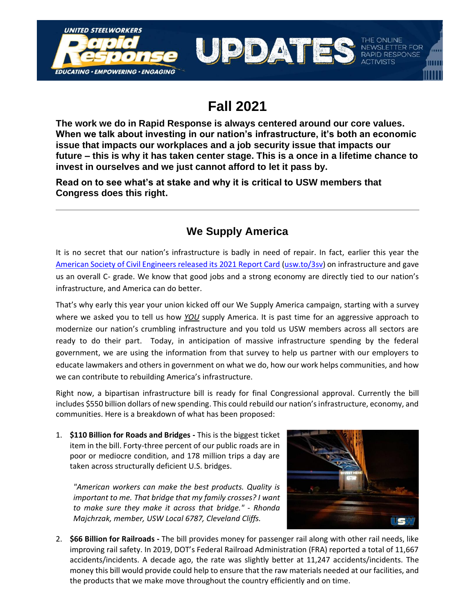

## **Fall 2021**

**The work we do in Rapid Response is always centered around our core values. When we talk about investing in our nation's infrastructure, it's both an economic issue that impacts our workplaces and a job security issue that impacts our future – this is why it has taken center stage. This is a once in a lifetime chance to invest in ourselves and we just cannot afford to let it pass by.**

**Read on to see what's at stake and why it is critical to USW members that Congress does this right.**

## **We Supply America**

It is no secret that our nation's infrastructure is badly in need of repair. In fact, earlier this year the [American Society of Civil Engineers released its 2021 Report Card](https://infrastructurereportcard.org/) [\(usw.to/3sv\)](http://usw.to/3sv) on infrastructure and gave us an overall C- grade. We know that good jobs and a strong economy are directly tied to our nation's infrastructure, and America can do better.

That's why early this year your union kicked off our We Supply America campaign, starting with a survey where we asked you to tell us how *YOU* supply America. It is past time for an aggressive approach to modernize our nation's crumbling infrastructure and you told us USW members across all sectors are ready to do their part. Today, in anticipation of massive infrastructure spending by the federal government, we are using the information from that survey to help us partner with our employers to educate lawmakers and others in government on what we do, how our work helps communities, and how we can contribute to rebuilding America's infrastructure.

Right now, a bipartisan infrastructure bill is ready for final Congressional approval. Currently the bill includes \$550 billion dollars of new spending. This could rebuild our nation's infrastructure, economy, and communities. Here is a breakdown of what has been proposed:

1. **\$110 Billion for Roads and Bridges -** This is the biggest ticket item in the bill. Forty-three percent of our public roads are in poor or mediocre condition, and 178 million trips a day are taken across structurally deficient U.S. bridges.

*"American workers can make the best products. Quality is important to me. That bridge that my family crosses? I want to make sure they make it across that bridge." - Rhonda Majchrzak, member, USW Local 6787, Cleveland Cliffs.*



2. **\$66 Billion for Railroads -** The bill provides money for passenger rail along with other rail needs, like improving rail safety. In 2019, DOT's Federal Railroad Administration (FRA) reported a total of 11,667 accidents/incidents. A decade ago, the rate was slightly better at 11,247 accidents/incidents. The money this bill would provide could help to ensure that the raw materials needed at our facilities, and the products that we make move throughout the country efficiently and on time.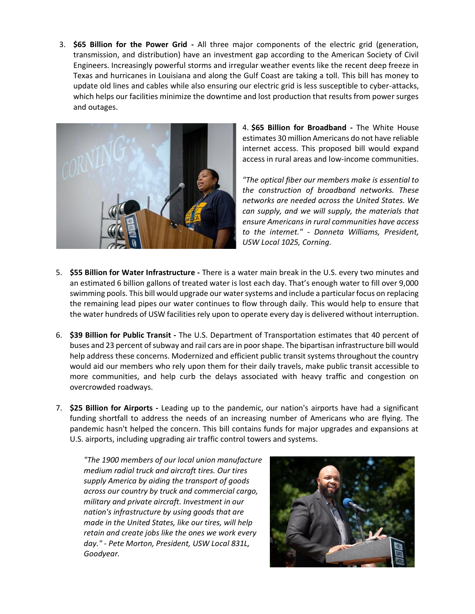3. **\$65 Billion for the Power Grid -** All three major components of the electric grid (generation, transmission, and distribution) have an investment gap according to the American Society of Civil Engineers. Increasingly powerful storms and irregular weather events like the recent deep freeze in Texas and hurricanes in Louisiana and along the Gulf Coast are taking a toll. This bill has money to update old lines and cables while also ensuring our electric grid is less susceptible to cyber-attacks, which helps our facilities minimize the downtime and lost production that results from power surges and outages.



4. **\$65 Billion for Broadband -** The White House estimates 30 million Americans do not have reliable internet access. This proposed bill would expand access in rural areas and low-income communities.

*"The optical fiber our members make is essential to the construction of broadband networks. These networks are needed across the United States. We can supply, and we will supply, the materials that ensure Americans in rural communities have access to the internet." - Donneta Williams, President, USW Local 1025, Corning.* 

- 5. **\$55 Billion for Water Infrastructure -** There is a water main break in the U.S. every two minutes and an estimated 6 billion gallons of treated water is lost each day. That's enough water to fill over 9,000 swimming pools. This bill would upgrade our water systems and include a particular focus on replacing the remaining lead pipes our water continues to flow through daily. This would help to ensure that the water hundreds of USW facilities rely upon to operate every day is delivered without interruption.
- 6. **\$39 Billion for Public Transit -** The U.S. Department of Transportation estimates that 40 percent of buses and 23 percent of subway and rail cars are in poor shape. The bipartisan infrastructure bill would help address these concerns. Modernized and efficient public transit systems throughout the country would aid our members who rely upon them for their daily travels, make public transit accessible to more communities, and help curb the delays associated with heavy traffic and congestion on overcrowded roadways.
- 7. **\$25 Billion for Airports -** Leading up to the pandemic, our nation's airports have had a significant funding shortfall to address the needs of an increasing number of Americans who are flying. The pandemic hasn't helped the concern. This bill contains funds for major upgrades and expansions at U.S. airports, including upgrading air traffic control towers and systems.

*"The 1900 members of our local union manufacture medium radial truck and aircraft tires. Our tires supply America by aiding the transport of goods across our country by truck and commercial cargo, military and private aircraft. Investment in our nation's infrastructure by using goods that are made in the United States, like our tires, will help retain and create jobs like the ones we work every day." - Pete Morton, President, USW Local 831L, Goodyear.* 

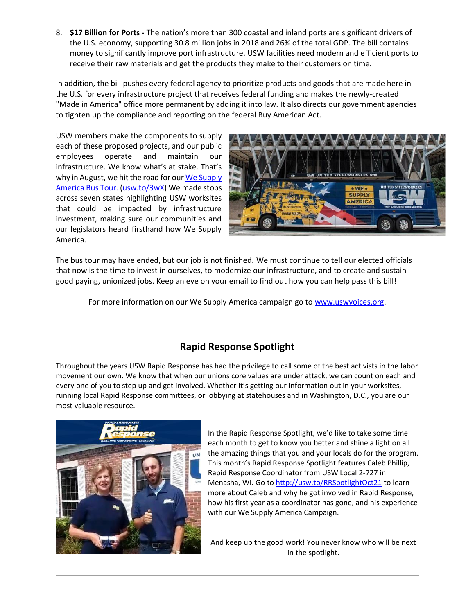8. **\$17 Billion for Ports -** The nation's more than 300 coastal and inland ports are significant drivers of the U.S. economy, supporting 30.8 million jobs in 2018 and 26% of the total GDP. The bill contains money to significantly improve port infrastructure. USW facilities need modern and efficient ports to receive their raw materials and get the products they make to their customers on time.

In addition, the bill pushes every federal agency to prioritize products and goods that are made here in the U.S. for every infrastructure project that receives federal funding and makes the newly-created "Made in America" office more permanent by adding it into law. It also directs our government agencies to tighten up the compliance and reporting on the federal Buy American Act.

USW members make the components to supply each of these proposed projects, and our public employees operate and maintain our infrastructure. We know what's at stake. That's why in August, we hit the road for our We Supply [America Bus Tour.](http://images.usw.org/download/rapid/ActionCall_Infrastructure_Wrap_Up.docx.pdf?link_id=3&can_id=f480bffe485d7e876fe7114907c95e0e&source=email-day-three-had-us-rolling-into-danville-virginia-2&email_referrer=&email_subject=what-a-week) [\(usw.to/3wX\)](http://usw.to/3wX) We made stops across seven states highlighting USW worksites that could be impacted by infrastructure investment, making sure our communities and our legislators heard firsthand how We Supply America.



The bus tour may have ended, but our job is not finished. We must continue to tell our elected officials that now is the time to invest in ourselves, to modernize our infrastructure, and to create and sustain good paying, unionized jobs. Keep an eye on your email to find out how you can help pass this bill!

For more information on our We Supply America campaign go to [www.uswvoices.org.](http://www.uswvoices.org/)

## **Rapid Response Spotlight**

Throughout the years USW Rapid Response has had the privilege to call some of the best activists in the labor movement our own. We know that when our unions core values are under attack, we can count on each and every one of you to step up and get involved. Whether it's getting our information out in your worksites, running local Rapid Response committees, or lobbying at statehouses and in Washington, D.C., you are our most valuable resource.



In the Rapid Response Spotlight, we'd like to take some time each month to get to know you better and shine a light on all the amazing things that you and your locals do for the program. This month's Rapid Response Spotlight features Caleb Phillip, Rapid Response Coordinator from USW Local 2-727 in Menasha, WI. Go t[o http://usw.to/RRSpotlightOct21](http://usw.to/RRSpotlightOct21) to learn more about Caleb and why he got involved in Rapid Response, how his first year as a coordinator has gone, and his experience with our We Supply America Campaign.

And keep up the good work! You never know who will be next in the spotlight.